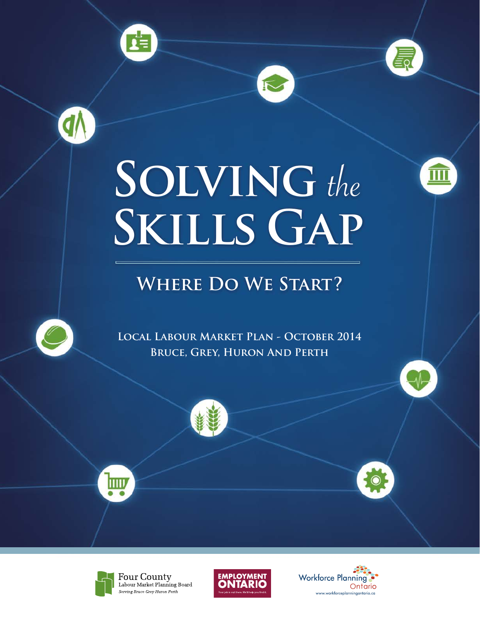





 $\sqrt{2}$ 

# **Solving** the **Skills Gap**

## **Where Do We Start?**



**d** 

**Local Labour Market Plan - October 2014 Bruce, Grey, Huron And Perth**









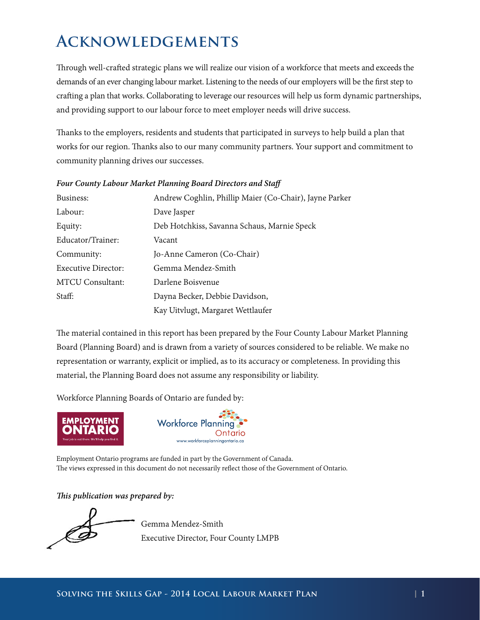### <span id="page-1-0"></span>**Acknowledgements**

Through well-crafted strategic plans we will realize our vision of a workforce that meets and exceeds the demands of an ever changing labour market. Listening to the needs of our employers will be the first step to crafting a plan that works. Collaborating to leverage our resources will help us form dynamic partnerships, and providing support to our labour force to meet employer needs will drive success.

Thanks to the employers, residents and students that participated in surveys to help build a plan that works for our region. Thanks also to our many community partners. Your support and commitment to community planning drives our successes.

| Business:                  | Andrew Coghlin, Phillip Maier (Co-Chair), Jayne Parker |
|----------------------------|--------------------------------------------------------|
| Labour:                    | Dave Jasper                                            |
| Equity:                    | Deb Hotchkiss, Savanna Schaus, Marnie Speck            |
| Educator/Trainer:          | Vacant                                                 |
| Community:                 | Jo-Anne Cameron (Co-Chair)                             |
| <b>Executive Director:</b> | Gemma Mendez-Smith                                     |
| <b>MTCU Consultant:</b>    | Darlene Boisvenue                                      |
| Staff:                     | Dayna Becker, Debbie Davidson,                         |
|                            | Kay Uitvlugt, Margaret Wettlaufer                      |

#### *Four County Labour Market Planning Board Directors and Staff*

The material contained in this report has been prepared by the Four County Labour Market Planning Board (Planning Board) and is drawn from a variety of sources considered to be reliable. We make no representation or warranty, explicit or implied, as to its accuracy or completeness. In providing this material, the Planning Board does not assume any responsibility or liability.

Workforce Planning Boards of Ontario are funded by:





Employment Ontario programs are funded in part by the Government of Canada. The views expressed in this document do not necessarily reflect those of the Government of Ontario.

*This publication was prepared by:*

 Gemma Mendez-Smith Executive Director, Four County LMPB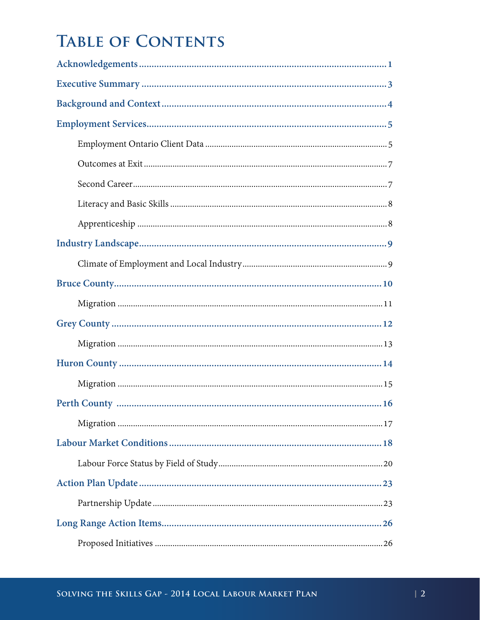### **TABLE OF CONTENTS**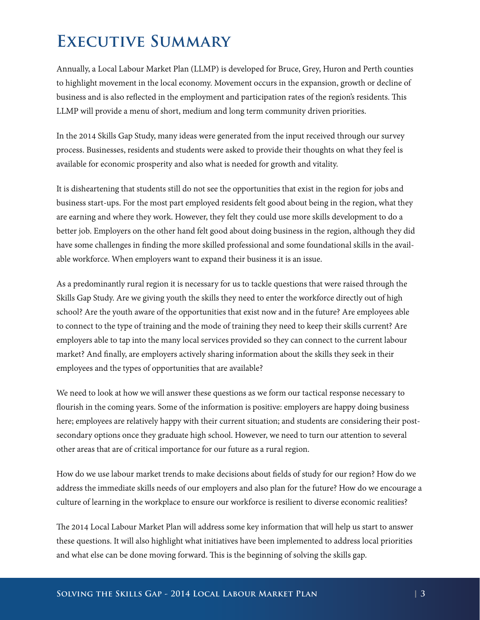### <span id="page-3-0"></span>**Executive Summary**

Annually, a Local Labour Market Plan (LLMP) is developed for Bruce, Grey, Huron and Perth counties to highlight movement in the local economy. Movement occurs in the expansion, growth or decline of business and is also reflected in the employment and participation rates of the region's residents. This LLMP will provide a menu of short, medium and long term community driven priorities.

In the 2014 Skills Gap Study, many ideas were generated from the input received through our survey process. Businesses, residents and students were asked to provide their thoughts on what they feel is available for economic prosperity and also what is needed for growth and vitality.

It is disheartening that students still do not see the opportunities that exist in the region for jobs and business start-ups. For the most part employed residents felt good about being in the region, what they are earning and where they work. However, they felt they could use more skills development to do a better job. Employers on the other hand felt good about doing business in the region, although they did have some challenges in finding the more skilled professional and some foundational skills in the available workforce. When employers want to expand their business it is an issue.

As a predominantly rural region it is necessary for us to tackle questions that were raised through the Skills Gap Study. Are we giving youth the skills they need to enter the workforce directly out of high school? Are the youth aware of the opportunities that exist now and in the future? Are employees able to connect to the type of training and the mode of training they need to keep their skills current? Are employers able to tap into the many local services provided so they can connect to the current labour market? And finally, are employers actively sharing information about the skills they seek in their employees and the types of opportunities that are available?

We need to look at how we will answer these questions as we form our tactical response necessary to flourish in the coming years. Some of the information is positive: employers are happy doing business here; employees are relatively happy with their current situation; and students are considering their postsecondary options once they graduate high school. However, we need to turn our attention to several other areas that are of critical importance for our future as a rural region.

How do we use labour market trends to make decisions about fields of study for our region? How do we address the immediate skills needs of our employers and also plan for the future? How do we encourage a culture of learning in the workplace to ensure our workforce is resilient to diverse economic realities?

The 2014 Local Labour Market Plan will address some key information that will help us start to answer these questions. It will also highlight what initiatives have been implemented to address local priorities and what else can be done moving forward. This is the beginning of solving the skills gap.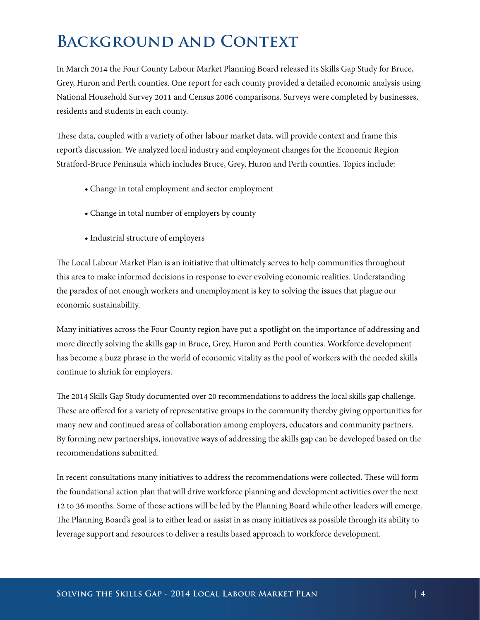### <span id="page-4-0"></span>**Background and Context**

In March 2014 the Four County Labour Market Planning Board released its Skills Gap Study for Bruce, Grey, Huron and Perth counties. One report for each county provided a detailed economic analysis using National Household Survey 2011 and Census 2006 comparisons. Surveys were completed by businesses, residents and students in each county.

These data, coupled with a variety of other labour market data, will provide context and frame this report's discussion. We analyzed local industry and employment changes for the Economic Region Stratford-Bruce Peninsula which includes Bruce, Grey, Huron and Perth counties. Topics include:

- Change in total employment and sector employment
- Change in total number of employers by county
- Industrial structure of employers

The Local Labour Market Plan is an initiative that ultimately serves to help communities throughout this area to make informed decisions in response to ever evolving economic realities. Understanding the paradox of not enough workers and unemployment is key to solving the issues that plague our economic sustainability.

Many initiatives across the Four County region have put a spotlight on the importance of addressing and more directly solving the skills gap in Bruce, Grey, Huron and Perth counties. Workforce development has become a buzz phrase in the world of economic vitality as the pool of workers with the needed skills continue to shrink for employers.

The 2014 Skills Gap Study documented over 20 recommendations to address the local skills gap challenge. These are offered for a variety of representative groups in the community thereby giving opportunities for many new and continued areas of collaboration among employers, educators and community partners. By forming new partnerships, innovative ways of addressing the skills gap can be developed based on the recommendations submitted.

In recent consultations many initiatives to address the recommendations were collected. These will form the foundational action plan that will drive workforce planning and development activities over the next 12 to 36 months. Some of those actions will be led by the Planning Board while other leaders will emerge. The Planning Board's goal is to either lead or assist in as many initiatives as possible through its ability to leverage support and resources to deliver a results based approach to workforce development.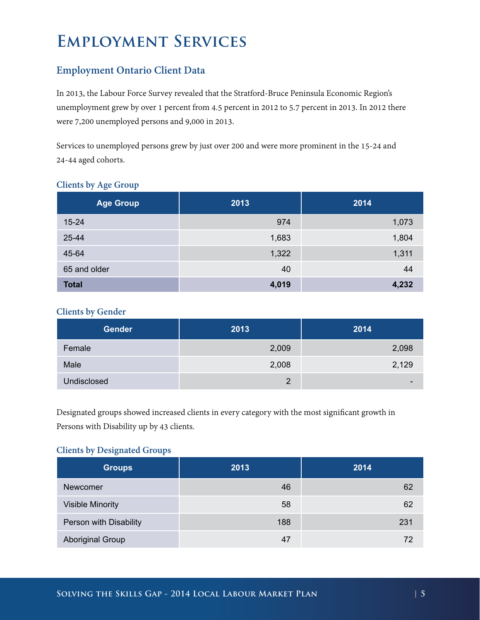### <span id="page-5-0"></span>**Employment Services**

#### **Employment Ontario Client Data**

In 2013, the Labour Force Survey revealed that the Stratford-Bruce Peninsula Economic Region's unemployment grew by over 1 percent from 4.5 percent in 2012 to 5.7 percent in 2013. In 2012 there were 7,200 unemployed persons and 9,000 in 2013.

Services to unemployed persons grew by just over 200 and were more prominent in the 15-24 and 24-44 aged cohorts.

| <b>Age Group</b> | 2013  | 2014  |
|------------------|-------|-------|
| $15 - 24$        | 974   | 1,073 |
| 25-44            | 1,683 | 1,804 |
| 45-64            | 1,322 | 1,311 |
| 65 and older     | 40    | 44    |
| <b>Total</b>     | 4,019 | 4,232 |

#### **Clients by Age Group**

#### **Clients by Gender**

| <b>Gender</b> | 2013           | 2014                     |
|---------------|----------------|--------------------------|
| Female        | 2,009          | 2,098                    |
| Male          | 2,008          | 2,129                    |
| Undisclosed   | $\overline{2}$ | $\overline{\phantom{0}}$ |

Designated groups showed increased clients in every category with the most significant growth in Persons with Disability up by 43 clients.

#### **Clients by Designated Groups**

| <b>Groups</b>           | 2013 | 2014 |
|-------------------------|------|------|
| Newcomer                | 46   | 62   |
| Visible Minority        | 58   | 62   |
| Person with Disability  | 188  | 231  |
| <b>Aboriginal Group</b> | 47   | 72   |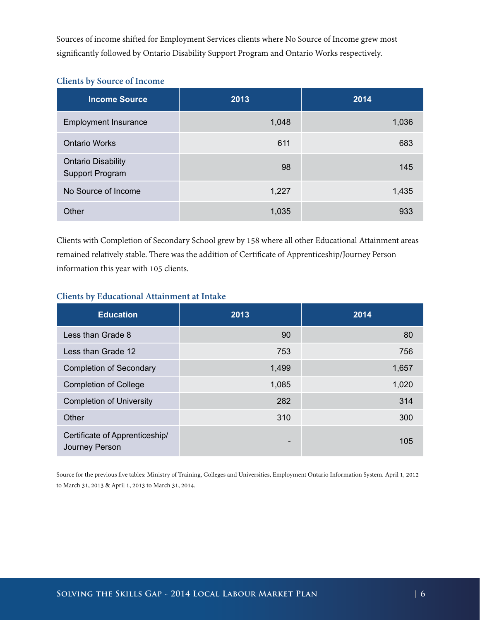Sources of income shifted for Employment Services clients where No Source of Income grew most significantly followed by Ontario Disability Support Program and Ontario Works respectively.

#### **Clients by Source of Income**

| <b>Income Source</b>                         | 2013  | 2014  |
|----------------------------------------------|-------|-------|
| <b>Employment Insurance</b>                  | 1,048 | 1,036 |
| <b>Ontario Works</b>                         | 611   | 683   |
| <b>Ontario Disability</b><br>Support Program | 98    | 145   |
| No Source of Income                          | 1,227 | 1,435 |
| Other                                        | 1,035 | 933   |

Clients with Completion of Secondary School grew by 158 where all other Educational Attainment areas remained relatively stable. There was the addition of Certificate of Apprenticeship/Journey Person information this year with 105 clients.

#### **Clients by Educational Attainment at Intake**

| <b>Education</b>                                 | 2013  | 2014  |
|--------------------------------------------------|-------|-------|
| Less than Grade 8                                | 90    | 80    |
| Less than Grade 12                               | 753   | 756   |
| <b>Completion of Secondary</b>                   | 1,499 | 1,657 |
| <b>Completion of College</b>                     | 1,085 | 1,020 |
| <b>Completion of University</b>                  | 282   | 314   |
| Other                                            | 310   | 300   |
| Certificate of Apprenticeship/<br>Journey Person | -     | 105   |

Source for the previous five tables: Ministry of Training, Colleges and Universities, Employment Ontario Information System. April 1, 2012 to March 31, 2013 & April 1, 2013 to March 31, 2014.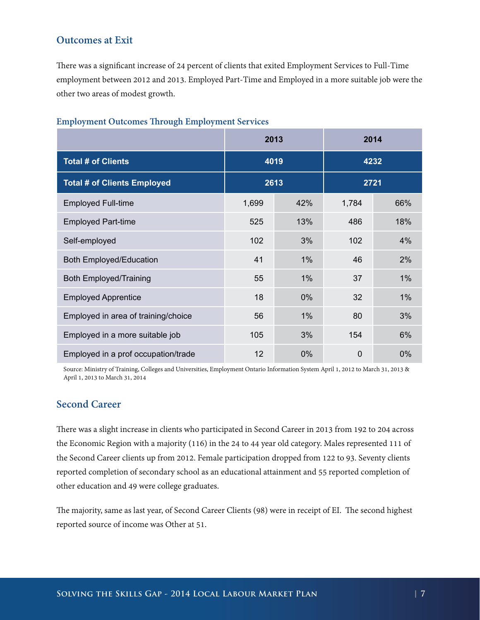#### <span id="page-7-0"></span>**Outcomes at Exit**

There was a significant increase of 24 percent of clients that exited Employment Services to Full-Time employment between 2012 and 2013. Employed Part-Time and Employed in a more suitable job were the other two areas of modest growth.

|                                     | 2013         |       |          | 2014  |
|-------------------------------------|--------------|-------|----------|-------|
| <b>Total # of Clients</b>           | 4019         |       |          | 4232  |
| <b>Total # of Clients Employed</b>  | 2613<br>2721 |       |          |       |
| <b>Employed Full-time</b>           | 1,699        | 42%   | 1,784    | 66%   |
| <b>Employed Part-time</b>           | 525          | 13%   | 486      | 18%   |
| Self-employed                       | 102          | 3%    | 102      | 4%    |
| Both Employed/Education             | 41           | $1\%$ | 46       | 2%    |
| <b>Both Employed/Training</b>       | 55           | $1\%$ | 37       | $1\%$ |
| <b>Employed Apprentice</b>          | 18           | $0\%$ | 32       | $1\%$ |
| Employed in area of training/choice | 56           | $1\%$ | 80       | 3%    |
| Employed in a more suitable job     | 105          | 3%    | 154      | 6%    |
| Employed in a prof occupation/trade | 12           | 0%    | $\Omega$ | 0%    |

#### **Employment Outcomes Through Employment Services**

Source: Ministry of Training, Colleges and Universities, Employment Ontario Information System April 1, 2012 to March 31, 2013 & April 1, 2013 to March 31, 2014

#### **Second Career**

There was a slight increase in clients who participated in Second Career in 2013 from 192 to 204 across the Economic Region with a majority (116) in the 24 to 44 year old category. Males represented 111 of the Second Career clients up from 2012. Female participation dropped from 122 to 93. Seventy clients reported completion of secondary school as an educational attainment and 55 reported completion of other education and 49 were college graduates.

The majority, same as last year, of Second Career Clients (98) were in receipt of EI. The second highest reported source of income was Other at 51.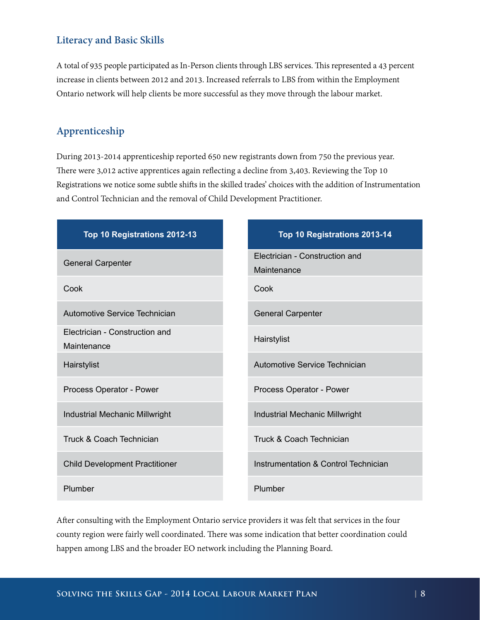#### <span id="page-8-0"></span>**Literacy and Basic Skills**

A total of 935 people participated as In-Person clients through LBS services. This represented a 43 percent increase in clients between 2012 and 2013. Increased referrals to LBS from within the Employment Ontario network will help clients be more successful as they move through the labour market.

#### **Apprenticeship**

During 2013-2014 apprenticeship reported 650 new registrants down from 750 the previous year. There were 3,012 active apprentices again reflecting a decline from 3,403. Reviewing the Top 10 Registrations we notice some subtle shifts in the skilled trades' choices with the addition of Instrumentation and Control Technician and the removal of Child Development Practitioner.

| Top 10 Registrations 2012-13                  | Top 10 Registrations 2013-14                  |
|-----------------------------------------------|-----------------------------------------------|
| <b>General Carpenter</b>                      | Electrician - Construction and<br>Maintenance |
| Cook                                          | Cook                                          |
| Automotive Service Technician                 | <b>General Carpenter</b>                      |
| Electrician - Construction and<br>Maintenance | Hairstylist                                   |
| Hairstylist                                   | Automotive Service Technician                 |
| Process Operator - Power                      | Process Operator - Power                      |
| Industrial Mechanic Millwright                | Industrial Mechanic Millwright                |
| <b>Truck &amp; Coach Technician</b>           | <b>Truck &amp; Coach Technician</b>           |
| <b>Child Development Practitioner</b>         | Instrumentation & Control Technician          |
| Plumber                                       | Plumber                                       |

After consulting with the Employment Ontario service providers it was felt that services in the four county region were fairly well coordinated. There was some indication that better coordination could happen among LBS and the broader EO network including the Planning Board.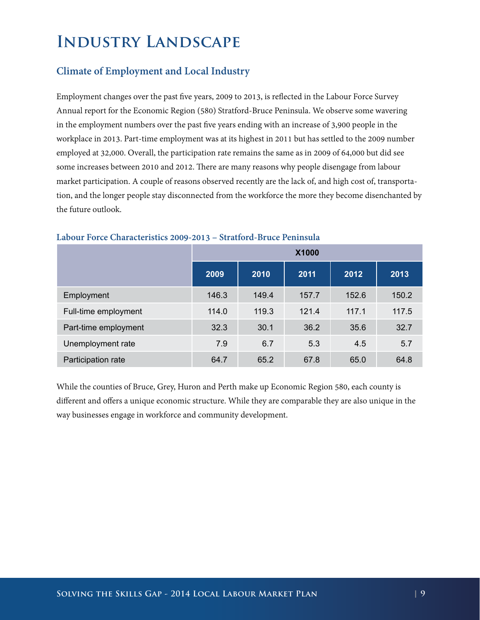### <span id="page-9-0"></span>**Industry Landscape**

#### **Climate of Employment and Local Industry**

Employment changes over the past five years, 2009 to 2013, is reflected in the Labour Force Survey Annual report for the Economic Region (580) Stratford-Bruce Peninsula. We observe some wavering in the employment numbers over the past five years ending with an increase of 3,900 people in the workplace in 2013. Part-time employment was at its highest in 2011 but has settled to the 2009 number employed at 32,000. Overall, the participation rate remains the same as in 2009 of 64,000 but did see some increases between 2010 and 2012. There are many reasons why people disengage from labour market participation. A couple of reasons observed recently are the lack of, and high cost of, transportation, and the longer people stay disconnected from the workforce the more they become disenchanted by the future outlook.

|                      | X1000 |       |       |       |       |
|----------------------|-------|-------|-------|-------|-------|
|                      | 2009  | 2010  | 2011  | 2012  | 2013  |
| Employment           | 146.3 | 149.4 | 157.7 | 152.6 | 150.2 |
| Full-time employment | 114.0 | 119.3 | 121.4 | 117.1 | 117.5 |
| Part-time employment | 32.3  | 30.1  | 36.2  | 35.6  | 32.7  |
| Unemployment rate    | 7.9   | 6.7   | 5.3   | 4.5   | 5.7   |
| Participation rate   | 64.7  | 65.2  | 67.8  | 65.0  | 64.8  |

#### **Labour Force Characteristics 2009-2013 – Stratford-Bruce Peninsula**

While the counties of Bruce, Grey, Huron and Perth make up Economic Region 580, each county is different and offers a unique economic structure. While they are comparable they are also unique in the way businesses engage in workforce and community development.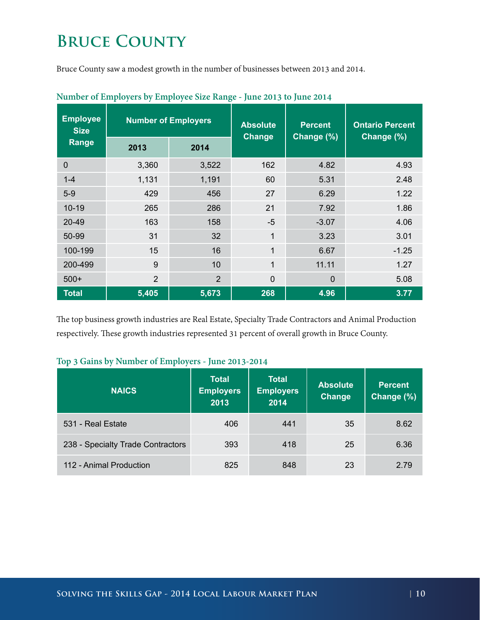### <span id="page-10-0"></span>**BRUCE COUNTY**

Bruce County saw a modest growth in the number of businesses between 2013 and 2014.

| <b>Employee</b><br><b>Size</b> | <b>Number of Employers</b> |                | <b>Absolute</b><br><b>Change</b> | <b>Percent</b><br>Change (%) | <b>Ontario Percent</b><br>Change (%) |  |
|--------------------------------|----------------------------|----------------|----------------------------------|------------------------------|--------------------------------------|--|
| Range                          | 2013                       | 2014           |                                  |                              |                                      |  |
| $\mathbf 0$                    | 3,360                      | 3,522          | 162                              | 4.82                         | 4.93                                 |  |
| $1 - 4$                        | 1,131                      | 1,191          | 60                               | 5.31                         | 2.48                                 |  |
| $5-9$                          | 429                        | 456            | 27                               | 6.29                         | 1.22                                 |  |
| $10 - 19$                      | 265                        | 286            | 21                               | 7.92                         | 1.86                                 |  |
| $20 - 49$                      | 163                        | 158            | $-5$                             | $-3.07$                      | 4.06                                 |  |
| 50-99                          | 31                         | 32             | 1                                | 3.23                         | 3.01                                 |  |
| 100-199                        | 15                         | 16             | 1                                | 6.67                         | $-1.25$                              |  |
| 200-499                        | 9                          | 10             | 1                                | 11.11                        | 1.27                                 |  |
| $500+$                         | 2                          | $\overline{2}$ | $\overline{0}$                   | $\overline{0}$               | 5.08                                 |  |
| <b>Total</b>                   | 5,405                      | 5,673          | 268                              | 4.96                         | 3.77                                 |  |

#### **Number of Employers by Employee Size Range - June 2013 to June 2014**

The top business growth industries are Real Estate, Specialty Trade Contractors and Animal Production respectively. These growth industries represented 31 percent of overall growth in Bruce County.

|  |  |  | Top 3 Gains by Number of Employers - June 2013-2014 |
|--|--|--|-----------------------------------------------------|
|--|--|--|-----------------------------------------------------|

| <b>NAICS</b>                      | <b>Total</b><br><b>Employers</b><br>2013 | <b>Total</b><br><b>Employers</b><br>2014 | <b>Absolute</b><br><b>Change</b> | <b>Percent</b><br>Change (%) |
|-----------------------------------|------------------------------------------|------------------------------------------|----------------------------------|------------------------------|
| 531 - Real Estate                 | 406                                      | 441                                      | 35                               | 8.62                         |
| 238 - Specialty Trade Contractors | 393                                      | 418                                      | 25                               | 6.36                         |
| 112 - Animal Production           | 825                                      | 848                                      | 23                               | 2.79                         |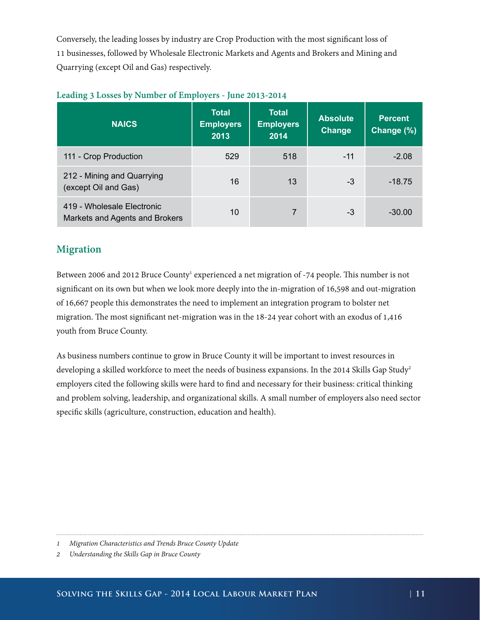<span id="page-11-0"></span>Conversely, the leading losses by industry are Crop Production with the most significant loss of 11 businesses, followed by Wholesale Electronic Markets and Agents and Brokers and Mining and Quarrying (except Oil and Gas) respectively.

| <b>NAICS</b>                                                 | <b>Total</b><br><b>Employers</b><br>2013 | <b>Total</b><br><b>Employers</b><br>2014 | <b>Absolute</b><br>Change | <b>Percent</b><br>Change (%) |
|--------------------------------------------------------------|------------------------------------------|------------------------------------------|---------------------------|------------------------------|
| 111 - Crop Production                                        | 529                                      | 518                                      | $-11$                     | $-2.08$                      |
| 212 - Mining and Quarrying<br>(except Oil and Gas)           | 16                                       | 13                                       | -3                        | $-18.75$                     |
| 419 - Wholesale Electronic<br>Markets and Agents and Brokers | 10                                       | $\overline{7}$                           | -3                        | $-30.00$                     |

#### **Leading 3 Losses by Number of Employers - June 2013-2014**

#### **Migration**

Between 2006 and 2012 Bruce County<sup>1</sup> experienced a net migration of -74 people. This number is not significant on its own but when we look more deeply into the in-migration of 16,598 and out-migration of 16,667 people this demonstrates the need to implement an integration program to bolster net migration. The most significant net-migration was in the 18-24 year cohort with an exodus of 1,416 youth from Bruce County.

As business numbers continue to grow in Bruce County it will be important to invest resources in developing a skilled workforce to meet the needs of business expansions. In the 2014 Skills Gap Study<sup>2</sup> employers cited the following skills were hard to find and necessary for their business: critical thinking and problem solving, leadership, and organizational skills. A small number of employers also need sector specific skills (agriculture, construction, education and health).

*<sup>1</sup> Migration Characteristics and Trends Bruce County Update*

*<sup>2</sup> Understanding the Skills Gap in Bruce County*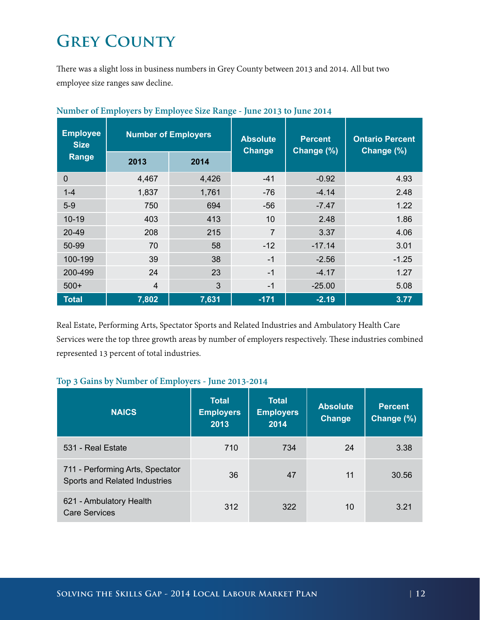## <span id="page-12-0"></span>**GREY COUNTY**

There was a slight loss in business numbers in Grey County between 2013 and 2014. All but two employee size ranges saw decline.

| <b>Employee</b><br><b>Number of Employers</b><br><b>Size</b> |                | <b>Absolute</b><br>Change | <b>Percent</b><br>Change (%) | <b>Ontario Percent</b><br>Change (%) |         |
|--------------------------------------------------------------|----------------|---------------------------|------------------------------|--------------------------------------|---------|
| Range                                                        | 2013           | 2014                      |                              |                                      |         |
| $\overline{0}$                                               | 4,467          | 4,426                     | $-41$                        | $-0.92$                              | 4.93    |
| $1 - 4$                                                      | 1,837          | 1,761                     | $-76$                        | $-4.14$                              | 2.48    |
| $5-9$                                                        | 750            | 694                       | $-56$                        | $-7.47$                              | 1.22    |
| $10 - 19$                                                    | 403            | 413                       | 10                           | 2.48                                 | 1.86    |
| $20 - 49$                                                    | 208            | 215                       | $\overline{7}$               | 3.37                                 | 4.06    |
| 50-99                                                        | 70             | 58                        | $-12$                        | $-17.14$                             | 3.01    |
| 100-199                                                      | 39             | 38                        | $-1$                         | $-2.56$                              | $-1.25$ |
| 200-499                                                      | 24             | 23                        | $-1$                         | $-4.17$                              | 1.27    |
| $500+$                                                       | $\overline{4}$ | 3                         | $-1$                         | $-25.00$                             | 5.08    |
| <b>Total</b>                                                 | 7,802          | 7,631                     | $-171$                       | $-2.19$                              | 3.77    |

| Number of Employers by Employee Size Range - June 2013 to June 2014 |  |  |
|---------------------------------------------------------------------|--|--|
|                                                                     |  |  |

Real Estate, Performing Arts, Spectator Sports and Related Industries and Ambulatory Health Care Services were the top three growth areas by number of employers respectively. These industries combined represented 13 percent of total industries.

#### **Top 3 Gains by Number of Employers - June 2013-2014**

| <b>NAICS</b>                                                      | <b>Total</b><br><b>Employers</b><br>2013 | <b>Total</b><br><b>Employers</b><br>2014 | <b>Absolute</b><br><b>Change</b> | <b>Percent</b><br>Change (%) |
|-------------------------------------------------------------------|------------------------------------------|------------------------------------------|----------------------------------|------------------------------|
| 531 - Real Estate                                                 | 710                                      | 734                                      | 24                               | 3.38                         |
| 711 - Performing Arts, Spectator<br>Sports and Related Industries | 36                                       | 47                                       | 11                               | 30.56                        |
| 621 - Ambulatory Health<br><b>Care Services</b>                   | 312                                      | 322                                      | 10                               | 3.21                         |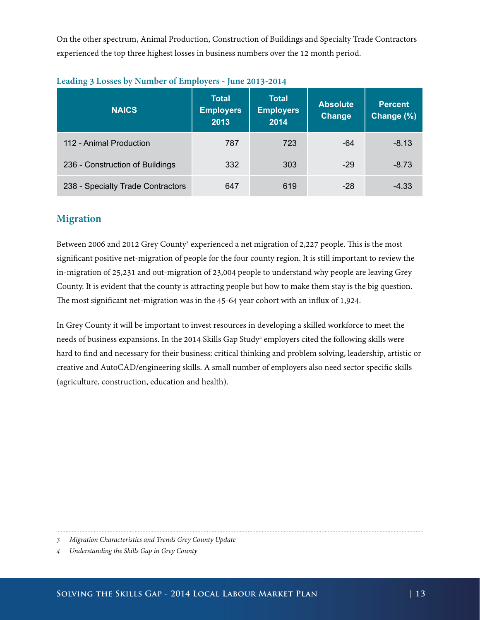<span id="page-13-0"></span>On the other spectrum, Animal Production, Construction of Buildings and Specialty Trade Contractors experienced the top three highest losses in business numbers over the 12 month period.

| <b>NAICS</b>                      | <b>Total</b><br><b>Employers</b><br>2013 | <b>Total</b><br><b>Employers</b><br>2014 | <b>Absolute</b><br><b>Change</b> | <b>Percent</b><br>Change (%) |
|-----------------------------------|------------------------------------------|------------------------------------------|----------------------------------|------------------------------|
| 112 - Animal Production           | 787                                      | 723                                      | $-64$                            | $-8.13$                      |
| 236 - Construction of Buildings   | 332                                      | 303                                      | $-29$                            | $-8.73$                      |
| 238 - Specialty Trade Contractors | 647                                      | 619                                      | $-28$                            | $-4.33$                      |

| Leading 3 Losses by Number of Employers - June 2013-2014 |  |  |  |
|----------------------------------------------------------|--|--|--|
|----------------------------------------------------------|--|--|--|

#### **Migration**

Between 2006 and 2012 Grey County<sup>3</sup> experienced a net migration of 2,227 people. This is the most significant positive net-migration of people for the four county region. It is still important to review the in-migration of 25,231 and out-migration of 23,004 people to understand why people are leaving Grey County. It is evident that the county is attracting people but how to make them stay is the big question. The most significant net-migration was in the 45-64 year cohort with an influx of 1,924.

In Grey County it will be important to invest resources in developing a skilled workforce to meet the needs of business expansions. In the 2014 Skills Gap Study4 employers cited the following skills were hard to find and necessary for their business: critical thinking and problem solving, leadership, artistic or creative and AutoCAD/engineering skills. A small number of employers also need sector specific skills (agriculture, construction, education and health).

*<sup>3</sup> Migration Characteristics and Trends Grey County Update*

*<sup>4</sup> Understanding the Skills Gap in Grey County*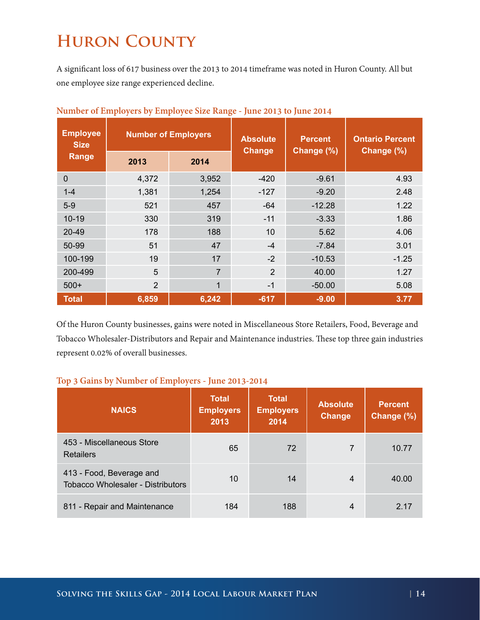### <span id="page-14-0"></span>**Huron County**

A significant loss of 617 business over the 2013 to 2014 timeframe was noted in Huron County. All but one employee size range experienced decline.

| <b>Employee</b><br><b>Number of Employers</b><br><b>Size</b> |                | <b>Absolute</b><br><b>Change</b> | <b>Percent</b><br>Change (%) | <b>Ontario Percent</b><br>Change (%) |         |
|--------------------------------------------------------------|----------------|----------------------------------|------------------------------|--------------------------------------|---------|
| Range                                                        | 2013           | 2014                             |                              |                                      |         |
| $\overline{0}$                                               | 4,372          | 3,952                            | $-420$                       | $-9.61$                              | 4.93    |
| $1 - 4$                                                      | 1,381          | 1,254                            | $-127$                       | $-9.20$                              | 2.48    |
| $5-9$                                                        | 521            | 457                              | $-64$                        | $-12.28$                             | 1.22    |
| $10 - 19$                                                    | 330            | 319                              | $-11$                        | $-3.33$                              | 1.86    |
| $20 - 49$                                                    | 178            | 188                              | 10                           | 5.62                                 | 4.06    |
| 50-99                                                        | 51             | 47                               | $-4$                         | $-7.84$                              | 3.01    |
| 100-199                                                      | 19             | 17                               | $-2$                         | $-10.53$                             | $-1.25$ |
| 200-499                                                      | 5              | 7                                | $\overline{2}$               | 40.00                                | 1.27    |
| $500+$                                                       | $\overline{2}$ | 1                                | $-1$                         | $-50.00$                             | 5.08    |
| <b>Total</b>                                                 | 6,859          | 6,242                            | $-617$                       | $-9.00$                              | 3.77    |

Of the Huron County businesses, gains were noted in Miscellaneous Store Retailers, Food, Beverage and Tobacco Wholesaler-Distributors and Repair and Maintenance industries. These top three gain industries represent 0.02% of overall businesses.

#### **Top 3 Gains by Number of Employers - June 2013-2014**

| <b>NAICS</b>                                                         | <b>Total</b><br><b>Employers</b><br>2013 | <b>Total</b><br><b>Employers</b><br>2014 | <b>Absolute</b><br><b>Change</b> | <b>Percent</b><br>Change (%) |
|----------------------------------------------------------------------|------------------------------------------|------------------------------------------|----------------------------------|------------------------------|
| 453 - Miscellaneous Store<br><b>Retailers</b>                        | 65                                       | 72                                       | 7                                | 10.77                        |
| 413 - Food, Beverage and<br><b>Tobacco Wholesaler - Distributors</b> | 10                                       | 14                                       | 4                                | 40.00                        |
| 811 - Repair and Maintenance                                         | 184                                      | 188                                      | 4                                | 2.17                         |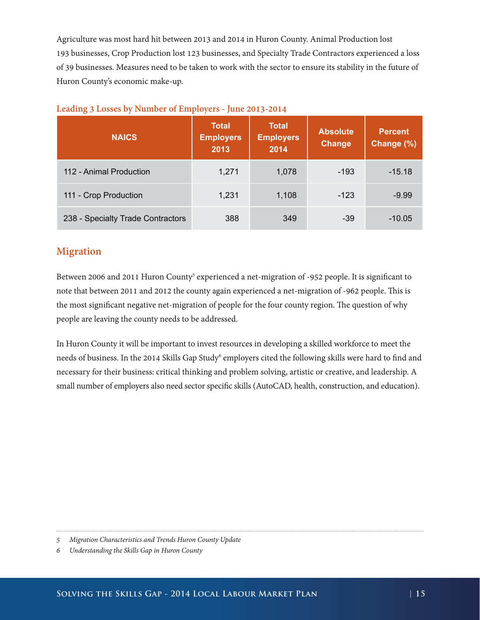<span id="page-15-0"></span>Agriculture was most hard hit between 2013 and 2014 in Huron County. Animal Production lost 193 businesses, Crop Production lost 123 businesses, and Specialty Trade Contractors experienced a loss of 39 businesses. Measures need to be taken to work with the sector to ensure its stability in the future of Huron County's economic make-up.

| <b>NAICS</b>                      | Total<br><b>Employers</b><br>2013 | <b>Total</b><br><b>Employers</b><br>2014 | <b>Absolute</b><br>Change | <b>Percent</b><br>Change (%) |
|-----------------------------------|-----------------------------------|------------------------------------------|---------------------------|------------------------------|
| 112 - Animal Production           | 1,271                             | 1,078                                    | $-193$                    | $-15.18$                     |
| 111 - Crop Production             | 1,231                             | 1,108                                    | $-123$                    | $-9.99$                      |
| 238 - Specialty Trade Contractors | 388                               | 349                                      | $-39$                     | $-10.05$                     |

|  |  | Leading 3 Losses by Number of Employers - June 2013-2014 |
|--|--|----------------------------------------------------------|
|  |  |                                                          |

#### **Migration**

Between 2006 and 2011 Huron County<sup>5</sup> experienced a net-migration of -952 people. It is significant to note that between 2011 and 2012 the county again experienced a net-migration of -962 people. This is the most significant negative net-migration of people for the four county region. The question of why people are leaving the county needs to be addressed.

In Huron County it will be important to invest resources in developing a skilled workforce to meet the needs of business. In the 2014 Skills Gap Study<sup>6</sup> employers cited the following skills were hard to find and necessary for their business: critical thinking and problem solving, artistic or creative, and leadership. A small number of employers also need sector specific skills (AutoCAD, health, construction, and education).

*<sup>5</sup> Migration Characteristics and Trends Huron County Update*

*<sup>6</sup> Understanding the Skills Gap in Huron County*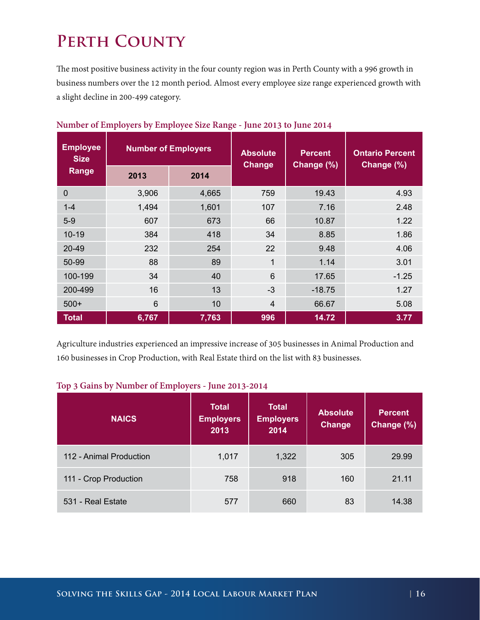## <span id="page-16-0"></span>**Perth County**

The most positive business activity in the four county region was in Perth County with a 996 growth in business numbers over the 12 month period. Almost every employee size range experienced growth with a slight decline in 200-499 category.

| <b>Employee</b><br><b>Size</b> |                | <b>Number of Employers</b> | <b>Absolute</b><br><b>Change</b> | <b>Percent</b><br>Change (%) | <b>Ontario Percent</b><br>Change (%) |  |
|--------------------------------|----------------|----------------------------|----------------------------------|------------------------------|--------------------------------------|--|
| Range                          | 2013           | 2014                       |                                  |                              |                                      |  |
| $\mathbf 0$                    | 3,906          | 4,665                      | 759                              | 19.43                        | 4.93                                 |  |
| $1 - 4$                        | 1,494          | 1,601                      | 107                              | 7.16                         | 2.48                                 |  |
| $5-9$                          | 607            | 673                        | 66                               | 10.87                        | 1.22                                 |  |
| $10 - 19$                      | 384            | 418                        | 34                               | 8.85                         | 1.86                                 |  |
| $20 - 49$                      | 232            | 254                        | 22                               | 9.48                         | 4.06                                 |  |
| 50-99                          | 88             | 89                         | $\mathbf{1}$                     | 1.14                         | 3.01                                 |  |
| 100-199                        | 34             | 40                         | 6                                | 17.65                        | $-1.25$                              |  |
| 200-499                        | 16             | 13                         | $-3$                             | $-18.75$                     | 1.27                                 |  |
| $500+$                         | $6\phantom{1}$ | 10                         | $\overline{4}$                   | 66.67                        | 5.08                                 |  |
| <b>Total</b>                   | 6,767          | 7,763                      | 996                              | 14.72                        | 3.77                                 |  |

#### **Number of Employers by Employee Size Range - June 2013 to June 2014**

Agriculture industries experienced an impressive increase of 305 businesses in Animal Production and 160 businesses in Crop Production, with Real Estate third on the list with 83 businesses.

#### **Top 3 Gains by Number of Employers - June 2013-2014**

| <b>NAICS</b>            | <b>Total</b><br><b>Employers</b><br>2013 | <b>Total</b><br><b>Employers</b><br>2014 | <b>Absolute</b><br><b>Change</b> | <b>Percent</b><br>Change (%) |
|-------------------------|------------------------------------------|------------------------------------------|----------------------------------|------------------------------|
| 112 - Animal Production | 1,017                                    | 1,322                                    | 305                              | 29.99                        |
| 111 - Crop Production   | 758                                      | 918                                      | 160                              | 21.11                        |
| 531 - Real Estate       | 577                                      | 660                                      | 83                               | 14.38                        |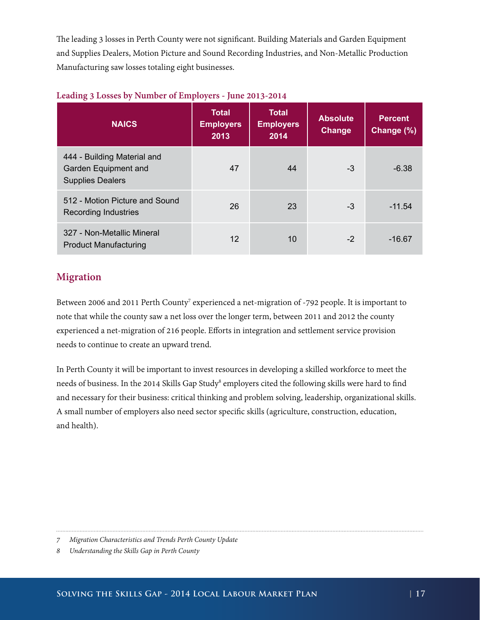<span id="page-17-0"></span>The leading 3 losses in Perth County were not significant. Building Materials and Garden Equipment and Supplies Dealers, Motion Picture and Sound Recording Industries, and Non-Metallic Production Manufacturing saw losses totaling eight businesses.

| <b>NAICS</b>                                                                   | <b>Total</b><br><b>Employers</b><br>2013 | Total<br><b>Employers</b><br>2014 | <b>Absolute</b><br>Change | <b>Percent</b><br>Change (%) |
|--------------------------------------------------------------------------------|------------------------------------------|-----------------------------------|---------------------------|------------------------------|
| 444 - Building Material and<br>Garden Equipment and<br><b>Supplies Dealers</b> | 47                                       | 44                                | -3                        | $-6.38$                      |
| 512 - Motion Picture and Sound<br><b>Recording Industries</b>                  | 26                                       | 23                                | -3                        | $-11.54$                     |
| 327 - Non-Metallic Mineral<br><b>Product Manufacturing</b>                     | 12                                       | 10                                | $-2$                      | $-16.67$                     |

#### **Leading 3 Losses by Number of Employers - June 2013-2014**

#### **Migration**

Between 2006 and 2011 Perth County<sup>7</sup> experienced a net-migration of -792 people. It is important to note that while the county saw a net loss over the longer term, between 2011 and 2012 the county experienced a net-migration of 216 people. Efforts in integration and settlement service provision needs to continue to create an upward trend.

In Perth County it will be important to invest resources in developing a skilled workforce to meet the needs of business. In the 2014 Skills Gap Study<sup>s</sup> employers cited the following skills were hard to find and necessary for their business: critical thinking and problem solving, leadership, organizational skills. A small number of employers also need sector specific skills (agriculture, construction, education, and health).

*<sup>7</sup> Migration Characteristics and Trends Perth County Update*

*<sup>8</sup> Understanding the Skills Gap in Perth County*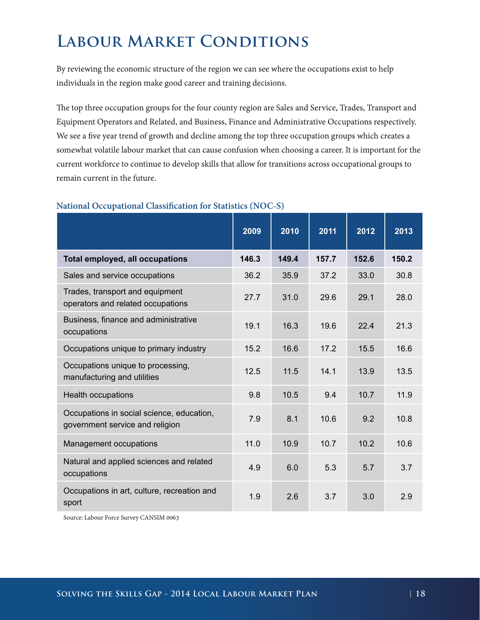### <span id="page-18-0"></span>**Labour Market Conditions**

By reviewing the economic structure of the region we can see where the occupations exist to help individuals in the region make good career and training decisions.

The top three occupation groups for the four county region are Sales and Service, Trades, Transport and Equipment Operators and Related, and Business, Finance and Administrative Occupations respectively. We see a five year trend of growth and decline among the top three occupation groups which creates a somewhat volatile labour market that can cause confusion when choosing a career. It is important for the current workforce to continue to develop skills that allow for transitions across occupational groups to remain current in the future.

|                                                                              | 2009  | 2010  | 2011  | 2012  | 2013  |
|------------------------------------------------------------------------------|-------|-------|-------|-------|-------|
| <b>Total employed, all occupations</b>                                       | 146.3 | 149.4 | 157.7 | 152.6 | 150.2 |
| Sales and service occupations                                                | 36.2  | 35.9  | 37.2  | 33.0  | 30.8  |
| Trades, transport and equipment<br>operators and related occupations         | 27.7  | 31.0  | 29.6  | 29.1  | 28.0  |
| Business, finance and administrative<br>occupations                          | 19.1  | 16.3  | 19.6  | 22.4  | 21.3  |
| Occupations unique to primary industry                                       | 15.2  | 16.6  | 17.2  | 15.5  | 16.6  |
| Occupations unique to processing,<br>manufacturing and utilities             | 12.5  | 11.5  | 14.1  | 13.9  | 13.5  |
| <b>Health occupations</b>                                                    | 9.8   | 10.5  | 9.4   | 10.7  | 11.9  |
| Occupations in social science, education,<br>government service and religion | 7.9   | 8.1   | 10.6  | 9.2   | 10.8  |
| Management occupations                                                       | 11.0  | 10.9  | 10.7  | 10.2  | 10.6  |
| Natural and applied sciences and related<br>occupations                      | 4.9   | 6.0   | 5.3   | 5.7   | 3.7   |
| Occupations in art, culture, recreation and<br>sport                         | 1.9   | 2.6   | 3.7   | 3.0   | 2.9   |

#### **National Occupational Classification for Statistics (NOC-S)**

Source: Labour Force Survey CANSIM 0063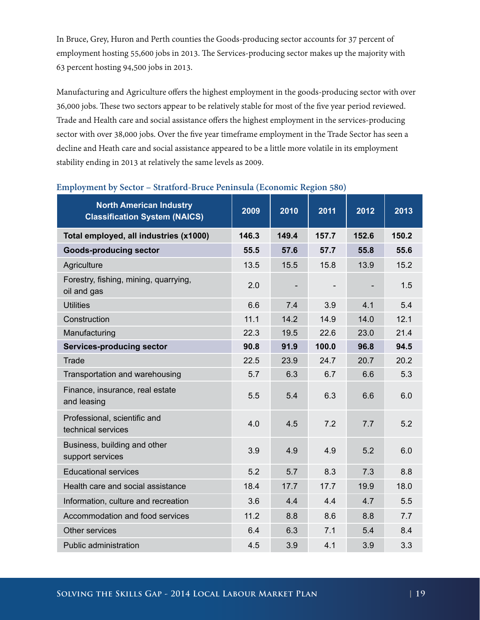In Bruce, Grey, Huron and Perth counties the Goods-producing sector accounts for 37 percent of employment hosting 55,600 jobs in 2013. The Services-producing sector makes up the majority with 63 percent hosting 94,500 jobs in 2013.

Manufacturing and Agriculture offers the highest employment in the goods-producing sector with over 36,000 jobs. These two sectors appear to be relatively stable for most of the five year period reviewed. Trade and Health care and social assistance offers the highest employment in the services-producing sector with over 38,000 jobs. Over the five year timeframe employment in the Trade Sector has seen a decline and Heath care and social assistance appeared to be a little more volatile in its employment stability ending in 2013 at relatively the same levels as 2009.

| <b>North American Industry</b><br><b>Classification System (NAICS)</b> | 2009  | 2010  | 2011  | 2012  | 2013  |
|------------------------------------------------------------------------|-------|-------|-------|-------|-------|
| Total employed, all industries (x1000)                                 | 146.3 | 149.4 | 157.7 | 152.6 | 150.2 |
| <b>Goods-producing sector</b>                                          | 55.5  | 57.6  | 57.7  | 55.8  | 55.6  |
| Agriculture                                                            | 13.5  | 15.5  | 15.8  | 13.9  | 15.2  |
| Forestry, fishing, mining, quarrying,<br>oil and gas                   | 2.0   |       |       |       | 1.5   |
| <b>Utilities</b>                                                       | 6.6   | 7.4   | 3.9   | 4.1   | 5.4   |
| Construction                                                           | 11.1  | 14.2  | 14.9  | 14.0  | 12.1  |
| Manufacturing                                                          | 22.3  | 19.5  | 22.6  | 23.0  | 21.4  |
| <b>Services-producing sector</b>                                       | 90.8  | 91.9  | 100.0 | 96.8  | 94.5  |
| Trade                                                                  | 22.5  | 23.9  | 24.7  | 20.7  | 20.2  |
| Transportation and warehousing                                         | 5.7   | 6.3   | 6.7   | 6.6   | 5.3   |
| Finance, insurance, real estate<br>and leasing                         | 5.5   | 5.4   | 6.3   | 6.6   | 6.0   |
| Professional, scientific and<br>technical services                     | 4.0   | 4.5   | 7.2   | 7.7   | 5.2   |
| Business, building and other<br>support services                       | 3.9   | 4.9   | 4.9   | 5.2   | 6.0   |
| <b>Educational services</b>                                            | 5.2   | 5.7   | 8.3   | 7.3   | 8.8   |
| Health care and social assistance                                      | 18.4  | 17.7  | 17.7  | 19.9  | 18.0  |
| Information, culture and recreation                                    | 3.6   | 4.4   | 4.4   | 4.7   | 5.5   |
| Accommodation and food services                                        | 11.2  | 8.8   | 8.6   | 8.8   | 7.7   |
| Other services                                                         | 6.4   | 6.3   | 7.1   | 5.4   | 8.4   |
| Public administration                                                  | 4.5   | 3.9   | 4.1   | 3.9   | 3.3   |

#### **Employment by Sector – Stratford-Bruce Peninsula (Economic Region 580)**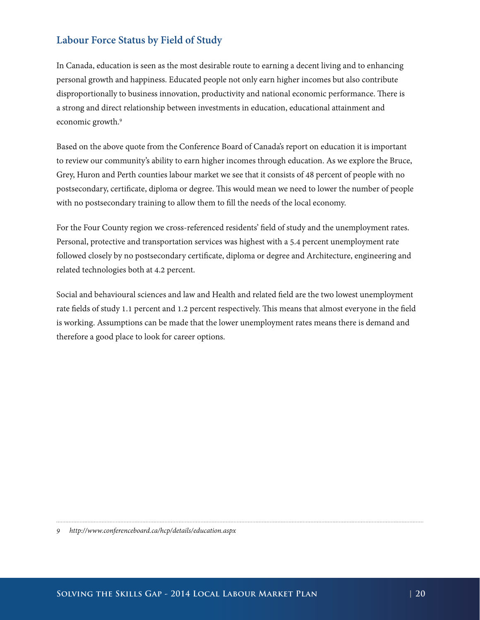#### <span id="page-20-0"></span>**Labour Force Status by Field of Study**

In Canada, education is seen as the most desirable route to earning a decent living and to enhancing personal growth and happiness. Educated people not only earn higher incomes but also contribute disproportionally to business innovation, productivity and national economic performance. There is a strong and direct relationship between investments in education, educational attainment and economic growth.<sup>9</sup>

Based on the above quote from the Conference Board of Canada's report on education it is important to review our community's ability to earn higher incomes through education. As we explore the Bruce, Grey, Huron and Perth counties labour market we see that it consists of 48 percent of people with no postsecondary, certificate, diploma or degree. This would mean we need to lower the number of people with no postsecondary training to allow them to fill the needs of the local economy.

For the Four County region we cross-referenced residents' field of study and the unemployment rates. Personal, protective and transportation services was highest with a 5.4 percent unemployment rate followed closely by no postsecondary certificate, diploma or degree and Architecture, engineering and related technologies both at 4.2 percent.

Social and behavioural sciences and law and Health and related field are the two lowest unemployment rate fields of study 1.1 percent and 1.2 percent respectively. This means that almost everyone in the field is working. Assumptions can be made that the lower unemployment rates means there is demand and therefore a good place to look for career options.

*<sup>9</sup> http://www.conferenceboard.ca/hcp/details/education.aspx*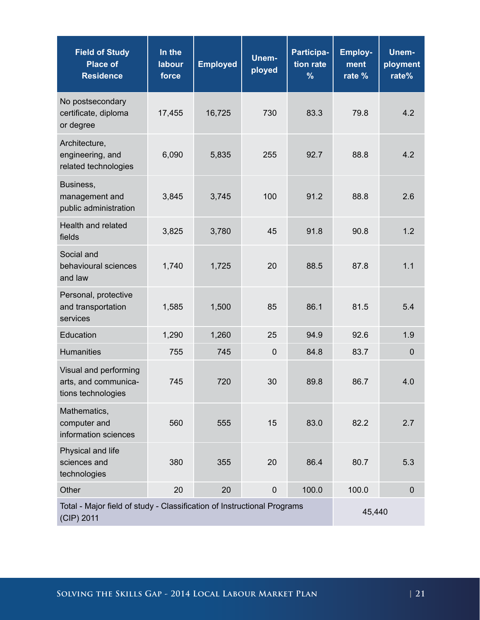| <b>Field of Study</b><br><b>Place of</b><br><b>Residence</b>                          | In the<br>labour<br>force | <b>Employed</b> | Unem-<br>ployed  | Participa-<br>tion rate<br>$\frac{9}{6}$ | <b>Employ-</b><br>ment<br>rate % | Unem-<br>ployment<br>rate% |
|---------------------------------------------------------------------------------------|---------------------------|-----------------|------------------|------------------------------------------|----------------------------------|----------------------------|
| No postsecondary<br>certificate, diploma<br>or degree                                 | 17,455                    | 16,725          | 730              | 83.3                                     | 79.8                             | 4.2                        |
| Architecture,<br>engineering, and<br>related technologies                             | 6,090                     | 5,835           | 255              | 92.7                                     | 88.8                             | 4.2                        |
| Business,<br>management and<br>public administration                                  | 3,845                     | 3,745           | 100              | 91.2                                     | 88.8                             | 2.6                        |
| Health and related<br>fields                                                          | 3,825                     | 3,780           | 45               | 91.8                                     | 90.8                             | 1.2                        |
| Social and<br>behavioural sciences<br>and law                                         | 1,740                     | 1,725           | 20               | 88.5                                     | 87.8                             | 1.1                        |
| Personal, protective<br>and transportation<br>services                                | 1,585                     | 1,500           | 85               | 86.1                                     | 81.5                             | 5.4                        |
| Education                                                                             | 1,290                     | 1,260           | 25               | 94.9                                     | 92.6                             | 1.9                        |
| <b>Humanities</b>                                                                     | 755                       | 745             | $\mathbf 0$      | 84.8                                     | 83.7                             | $\mathbf 0$                |
| Visual and performing<br>arts, and communica-<br>tions technologies                   | 745                       | 720             | 30               | 89.8                                     | 86.7                             | 4.0                        |
| Mathematics,<br>computer and<br>information sciences                                  | 560                       | 555             | 15               | 83.0                                     | 82.2                             | 2.7                        |
| Physical and life<br>sciences and<br>technologies                                     | 380                       | 355             | 20               | 86.4                                     | 80.7                             | 5.3                        |
| Other                                                                                 | 20                        | 20              | $\boldsymbol{0}$ | 100.0                                    | 100.0                            | $\mathbf 0$                |
| Total - Major field of study - Classification of Instructional Programs<br>(CIP) 2011 |                           |                 |                  |                                          | 45,440                           |                            |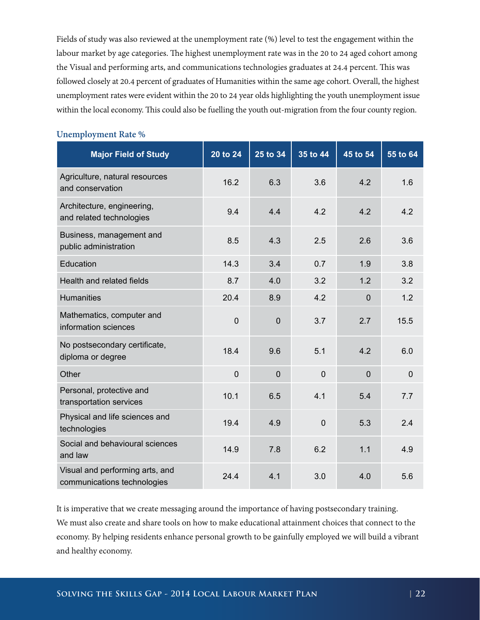Fields of study was also reviewed at the unemployment rate (%) level to test the engagement within the labour market by age categories. The highest unemployment rate was in the 20 to 24 aged cohort among the Visual and performing arts, and communications technologies graduates at 24.4 percent. This was followed closely at 20.4 percent of graduates of Humanities within the same age cohort. Overall, the highest unemployment rates were evident within the 20 to 24 year olds highlighting the youth unemployment issue within the local economy. This could also be fuelling the youth out-migration from the four county region.

| <b>Major Field of Study</b>                                    | 20 to 24    | 25 to 34       | 35 to 44       | 45 to 54       | 55 to 64    |
|----------------------------------------------------------------|-------------|----------------|----------------|----------------|-------------|
| Agriculture, natural resources<br>and conservation             | 16.2        | 6.3            | 3.6            | 4.2            | 1.6         |
| Architecture, engineering,<br>and related technologies         | 9.4         | 4.4            | 4.2            | 4.2            | 4.2         |
| Business, management and<br>public administration              | 8.5         | 4.3            | 2.5            | 2.6            | 3.6         |
| Education                                                      | 14.3        | 3.4            | 0.7            | 1.9            | 3.8         |
| Health and related fields                                      | 8.7         | 4.0            | 3.2            | 1.2            | 3.2         |
| <b>Humanities</b>                                              | 20.4        | 8.9            | 4.2            | $\mathbf 0$    | 1.2         |
| Mathematics, computer and<br>information sciences              | $\mathbf 0$ | $\overline{0}$ | 3.7            | 2.7            | 15.5        |
| No postsecondary certificate,<br>diploma or degree             | 18.4        | 9.6            | 5.1            | 4.2            | 6.0         |
| Other                                                          | $\mathbf 0$ | $\overline{0}$ | $\mathbf 0$    | $\overline{0}$ | $\mathbf 0$ |
| Personal, protective and<br>transportation services            | 10.1        | 6.5            | 4.1            | 5.4            | 7.7         |
| Physical and life sciences and<br>technologies                 | 19.4        | 4.9            | $\overline{0}$ | 5.3            | 2.4         |
| Social and behavioural sciences<br>and law                     | 14.9        | 7.8            | 6.2            | 1.1            | 4.9         |
| Visual and performing arts, and<br>communications technologies | 24.4        | 4.1            | 3.0            | 4.0            | 5.6         |

#### **Unemployment Rate %**

It is imperative that we create messaging around the importance of having postsecondary training. We must also create and share tools on how to make educational attainment choices that connect to the economy. By helping residents enhance personal growth to be gainfully employed we will build a vibrant and healthy economy.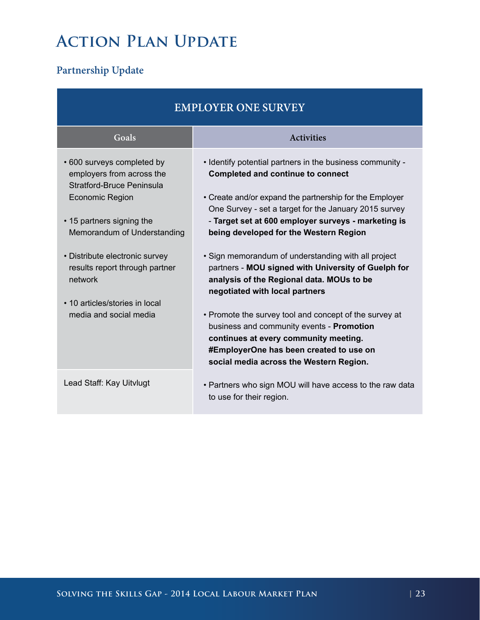### <span id="page-23-0"></span>**Action Plan Update**

#### **Partnership Update**

| <b>EMPLOYER ONE SURVEY</b>                                                                                     |                                                                                                                                                                                                                                    |  |  |  |
|----------------------------------------------------------------------------------------------------------------|------------------------------------------------------------------------------------------------------------------------------------------------------------------------------------------------------------------------------------|--|--|--|
| Goals                                                                                                          | <b>Activities</b>                                                                                                                                                                                                                  |  |  |  |
| • 600 surveys completed by<br>employers from across the<br>Stratford-Bruce Peninsula<br><b>Economic Region</b> | . Identify potential partners in the business community -<br><b>Completed and continue to connect</b><br>• Create and/or expand the partnership for the Employer                                                                   |  |  |  |
| • 15 partners signing the<br>Memorandum of Understanding                                                       | One Survey - set a target for the January 2015 survey<br>- Target set at 600 employer surveys - marketing is<br>being developed for the Western Region                                                                             |  |  |  |
| • Distribute electronic survey<br>results report through partner<br>network                                    | • Sign memorandum of understanding with all project<br>partners - MOU signed with University of Guelph for<br>analysis of the Regional data. MOUs to be<br>negotiated with local partners                                          |  |  |  |
| • 10 articles/stories in local<br>media and social media                                                       | • Promote the survey tool and concept of the survey at<br>business and community events - Promotion<br>continues at every community meeting.<br>#EmployerOne has been created to use on<br>social media across the Western Region. |  |  |  |
| Lead Staff: Kay Uitvlugt                                                                                       | • Partners who sign MOU will have access to the raw data<br>to use for their region.                                                                                                                                               |  |  |  |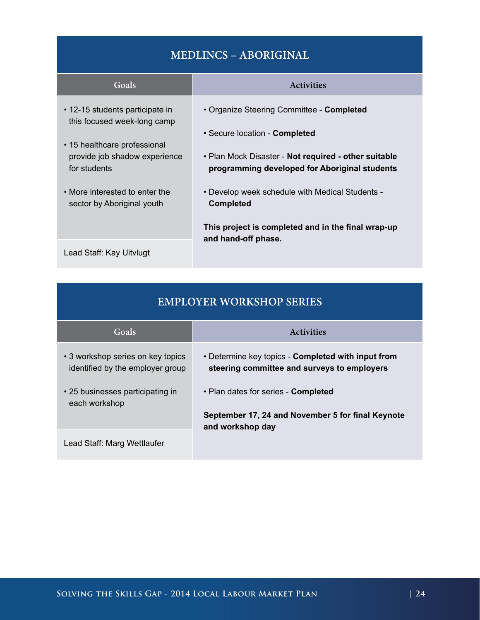### **MEDLINCS – ABORIGINAL**

| Goals                                                          | <b>Activities</b>                                                                                     |
|----------------------------------------------------------------|-------------------------------------------------------------------------------------------------------|
| • 12-15 students participate in<br>this focused week-long camp | • Organize Steering Committee - Completed                                                             |
| • 15 healthcare professional                                   | • Secure location - Completed                                                                         |
| provide job shadow experience<br>for students                  | • Plan Mock Disaster - Not required - other suitable<br>programming developed for Aboriginal students |
| • More interested to enter the<br>sector by Aboriginal youth   | . Develop week schedule with Medical Students -<br><b>Completed</b>                                   |
|                                                                | This project is completed and in the final wrap-up                                                    |
| Lead Staff: Kay Uitvlugt                                       | and hand-off phase.                                                                                   |

| <b>EMPLOYER WORKSHOP SERIES</b>                                       |                                                                                                   |  |  |  |
|-----------------------------------------------------------------------|---------------------------------------------------------------------------------------------------|--|--|--|
| Goals                                                                 | <b>Activities</b>                                                                                 |  |  |  |
| • 3 workshop series on key topics<br>identified by the employer group | • Determine key topics - Completed with input from<br>steering committee and surveys to employers |  |  |  |
| • 25 businesses participating in<br>each workshop                     | • Plan dates for series - <b>Completed</b>                                                        |  |  |  |
|                                                                       | September 17, 24 and November 5 for final Keynote<br>and workshop day                             |  |  |  |
| Lead Staff: Marg Wettlaufer                                           |                                                                                                   |  |  |  |

#### **Solving the Skills Gap - 2014 Local Labour Market Plan | 24**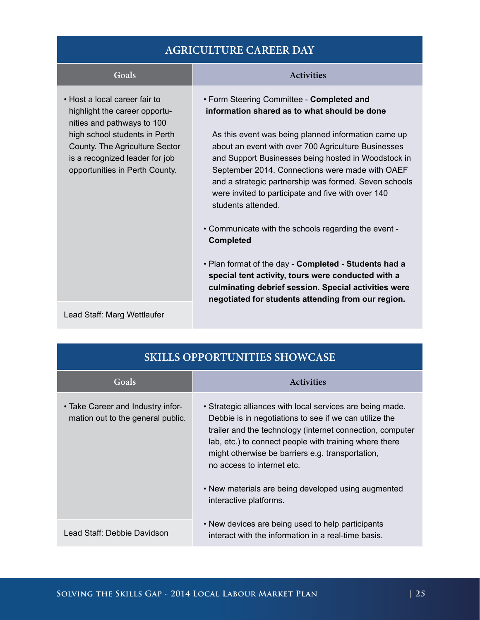#### **AGRICULTURE CAREER DAY**

• Host a local career fair to highlight the career opportunities and pathways to 100 high school students in Perth County. The Agriculture Sector is a recognized leader for job opportunities in Perth County.

#### **Goals Activities**

• Form Steering Committee - **Completed and information shared as to what should be done**

 As this event was being planned information came up about an event with over 700 Agriculture Businesses and Support Businesses being hosted in Woodstock in September 2014. Connections were made with OAEF and a strategic partnership was formed. Seven schools were invited to participate and five with over 140 students attended.

- Communicate with the schools regarding the event **Completed**
- Plan format of the day - **Completed Students had a special tent activity, tours were conducted with a culminating debrief session. Special activities were negotiated for students attending from our region.**

Lead Staff: Marg Wettlaufer

| <b>SKILLS OPPORTUNITIES SHOWCASE</b>                                   |                                                                                                                                                                                                                                                                                                                                                                                                               |  |  |  |
|------------------------------------------------------------------------|---------------------------------------------------------------------------------------------------------------------------------------------------------------------------------------------------------------------------------------------------------------------------------------------------------------------------------------------------------------------------------------------------------------|--|--|--|
| Goals                                                                  | <b>Activities</b>                                                                                                                                                                                                                                                                                                                                                                                             |  |  |  |
| • Take Career and Industry infor-<br>mation out to the general public. | • Strategic alliances with local services are being made.<br>Debbie is in negotiations to see if we can utilize the<br>trailer and the technology (internet connection, computer<br>lab, etc.) to connect people with training where there<br>might otherwise be barriers e.g. transportation,<br>no access to internet etc.<br>• New materials are being developed using augmented<br>interactive platforms. |  |  |  |
| Lead Staff: Debbie Davidson                                            | • New devices are being used to help participants<br>interact with the information in a real-time basis.                                                                                                                                                                                                                                                                                                      |  |  |  |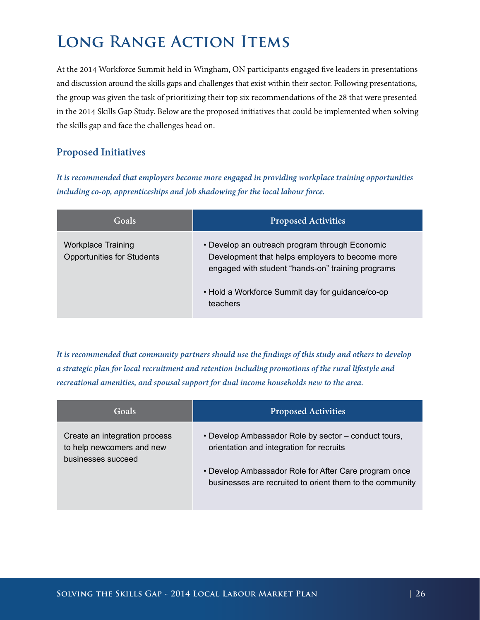### <span id="page-26-0"></span>**Long Range Action Items**

At the 2014 Workforce Summit held in Wingham, ON participants engaged five leaders in presentations and discussion around the skills gaps and challenges that exist within their sector. Following presentations, the group was given the task of prioritizing their top six recommendations of the 28 that were presented in the 2014 Skills Gap Study. Below are the proposed initiatives that could be implemented when solving the skills gap and face the challenges head on.

#### **Proposed Initiatives**

*It is recommended that employers become more engaged in providing workplace training opportunities including co-op, apprenticeships and job shadowing for the local labour force.*

| Goals <sup>'</sup>                                             | <b>Proposed Activities</b>                                                                                                                                                                                             |
|----------------------------------------------------------------|------------------------------------------------------------------------------------------------------------------------------------------------------------------------------------------------------------------------|
| <b>Workplace Training</b><br><b>Opportunities for Students</b> | • Develop an outreach program through Economic<br>Development that helps employers to become more<br>engaged with student "hands-on" training programs<br>• Hold a Workforce Summit day for guidance/co-op<br>teachers |

*It is recommended that community partners should use the findings of this study and others to develop a strategic plan for local recruitment and retention including promotions of the rural lifestyle and recreational amenities, and spousal support for dual income households new to the area.*

| Goals                                                                            | <b>Proposed Activities</b>                                                                                        |
|----------------------------------------------------------------------------------|-------------------------------------------------------------------------------------------------------------------|
| Create an integration process<br>to help newcomers and new<br>businesses succeed | • Develop Ambassador Role by sector – conduct tours,<br>orientation and integration for recruits                  |
|                                                                                  | • Develop Ambassador Role for After Care program once<br>businesses are recruited to orient them to the community |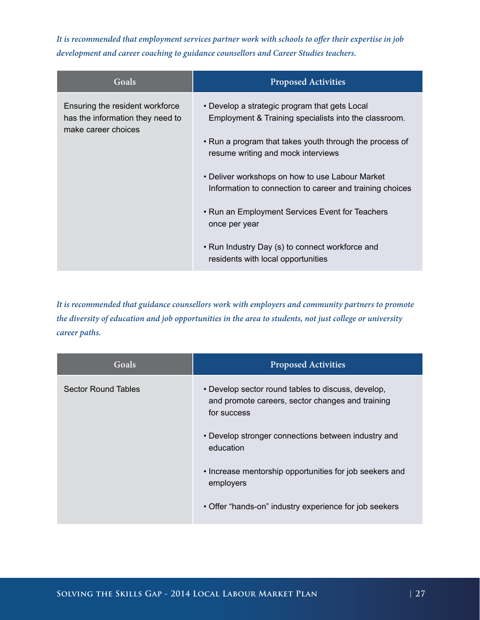*It is recommended that employment services partner work with schools to offer their expertise in job development and career coaching to guidance counsellors and Career Studies teachers.*

| Goals                                                                                      | <b>Proposed Activities</b>                                                                                                                                                                                                                                                                                                                                                                                                                                                          |
|--------------------------------------------------------------------------------------------|-------------------------------------------------------------------------------------------------------------------------------------------------------------------------------------------------------------------------------------------------------------------------------------------------------------------------------------------------------------------------------------------------------------------------------------------------------------------------------------|
| Ensuring the resident workforce<br>has the information they need to<br>make career choices | • Develop a strategic program that gets Local<br>Employment & Training specialists into the classroom.<br>• Run a program that takes youth through the process of<br>resume writing and mock interviews<br>• Deliver workshops on how to use Labour Market<br>Information to connection to career and training choices<br>• Run an Employment Services Event for Teachers<br>once per year<br>• Run Industry Day (s) to connect workforce and<br>residents with local opportunities |
|                                                                                            |                                                                                                                                                                                                                                                                                                                                                                                                                                                                                     |

*It is recommended that guidance counsellors work with employers and community partners to promote the diversity of education and job opportunities in the area to students, not just college or university career paths.*

| Goals                      | <b>Proposed Activities</b>                                                                                            |
|----------------------------|-----------------------------------------------------------------------------------------------------------------------|
| <b>Sector Round Tables</b> | • Develop sector round tables to discuss, develop,<br>and promote careers, sector changes and training<br>for success |
|                            | • Develop stronger connections between industry and<br>education                                                      |
|                            | • Increase mentorship opportunities for job seekers and<br>employers                                                  |
|                            | • Offer "hands-on" industry experience for job seekers                                                                |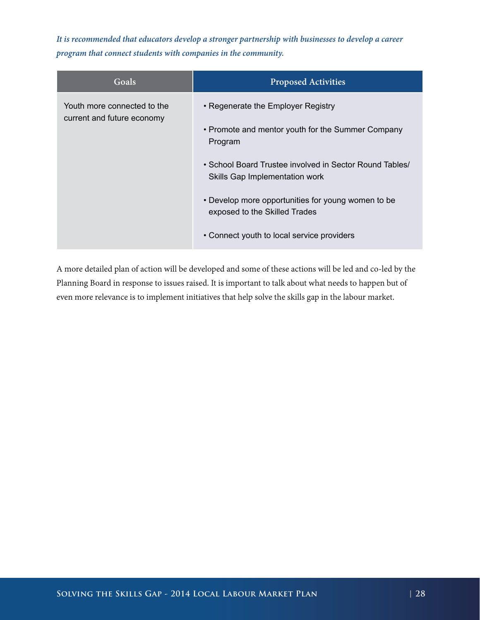*It is recommended that educators develop a stronger partnership with businesses to develop a career program that connect students with companies in the community.*

| Goals                                                     | <b>Proposed Activities</b>                                                                                                                                                                                                                                                                                                           |
|-----------------------------------------------------------|--------------------------------------------------------------------------------------------------------------------------------------------------------------------------------------------------------------------------------------------------------------------------------------------------------------------------------------|
| Youth more connected to the<br>current and future economy | • Regenerate the Employer Registry<br>• Promote and mentor youth for the Summer Company<br>Program<br>• School Board Trustee involved in Sector Round Tables/<br>Skills Gap Implementation work<br>• Develop more opportunities for young women to be<br>exposed to the Skilled Trades<br>• Connect youth to local service providers |

A more detailed plan of action will be developed and some of these actions will be led and co-led by the Planning Board in response to issues raised. It is important to talk about what needs to happen but of even more relevance is to implement initiatives that help solve the skills gap in the labour market.